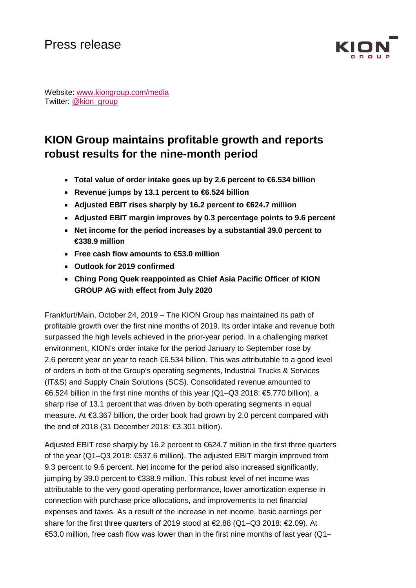

Website: [www.kiongroup.com/media](https://eur02.safelinks.protection.outlook.com/?url=http%3A%2F%2Fwww.kiongroup.com%2Fmedien&data=02%7C01%7CRene.Glock%40kiongroup.com%7C5e5bca3a3f334aa363bd08d6ef4156b0%7C13c728e0bb0c4cf78e105b327279d6d9%7C0%7C0%7C636959461240940155&sdata=E%2F7x0JVsCnlmN%2FwK6dD47zlcjp5ATtEt%2Bc3xaggKZaI%3D&reserved=0) Twitter: [@kion\\_group](https://twitter.com/kion_group)

# **KION Group maintains profitable growth and reports robust results for the nine-month period**

- **Total value of order intake goes up by 2.6 percent to €6.534 billion**
- **Revenue jumps by 13.1 percent to €6.524 billion**
- **Adjusted EBIT rises sharply by 16.2 percent to €624.7 million**
- **Adjusted EBIT margin improves by 0.3 percentage points to 9.6 percent**
- **Net income for the period increases by a substantial 39.0 percent to €338.9 million**
- **Free cash flow amounts to €53.0 million**
- **Outlook for 2019 confirmed**
- **Ching Pong Quek reappointed as Chief Asia Pacific Officer of KION GROUP AG with effect from July 2020**

Frankfurt/Main, October 24, 2019 – The KION Group has maintained its path of profitable growth over the first nine months of 2019. Its order intake and revenue both surpassed the high levels achieved in the prior-year period. In a challenging market environment, KION's order intake for the period January to September rose by 2.6 percent year on year to reach €6.534 billion. This was attributable to a good level of orders in both of the Group's operating segments, Industrial Trucks & Services (IT&S) and Supply Chain Solutions (SCS). Consolidated revenue amounted to €6.524 billion in the first nine months of this year (Q1–Q3 2018: €5.770 billion), a sharp rise of 13.1 percent that was driven by both operating segments in equal measure. At €3.367 billion, the order book had grown by 2.0 percent compared with the end of 2018 (31 December 2018: €3.301 billion).

Adjusted EBIT rose sharply by 16.2 percent to €624.7 million in the first three quarters of the year (Q1–Q3 2018:  $$37.6$  million). The adjusted EBIT margin improved from 9.3 percent to 9.6 percent. Net income for the period also increased significantly, jumping by 39.0 percent to €338.9 million. This robust level of net income was attributable to the very good operating performance, lower amortization expense in connection with purchase price allocations, and improvements to net financial expenses and taxes. As a result of the increase in net income, basic earnings per share for the first three quarters of 2019 stood at €2.88 (Q1-Q3 2018: €2.09). At €53.0 million, free cash flow was lower than in the first nine months of last year (Q1–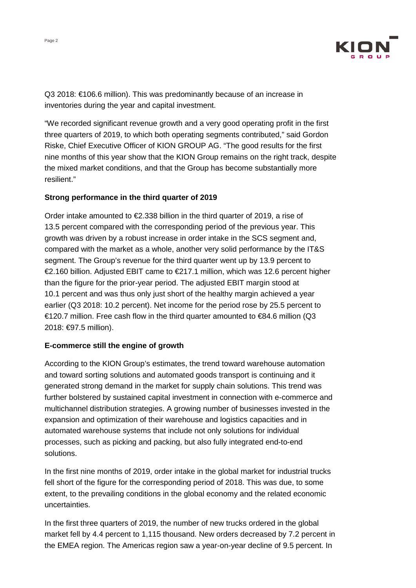

Q3 2018: €106.6 million). This was predominantly because of an increase in inventories during the year and capital investment.

"We recorded significant revenue growth and a very good operating profit in the first three quarters of 2019, to which both operating segments contributed," said Gordon Riske, Chief Executive Officer of KION GROUP AG. "The good results for the first nine months of this year show that the KION Group remains on the right track, despite the mixed market conditions, and that the Group has become substantially more resilient."

### **Strong performance in the third quarter of 2019**

Order intake amounted to €2.338 billion in the third quarter of 2019, a rise of 13.5 percent compared with the corresponding period of the previous year. This growth was driven by a robust increase in order intake in the SCS segment and, compared with the market as a whole, another very solid performance by the IT&S segment. The Group's revenue for the third quarter went up by 13.9 percent to €2.160 billion. Adjusted EBIT came to €217.1 million, which was 12.6 percent higher than the figure for the prior-year period. The adjusted EBIT margin stood at 10.1 percent and was thus only just short of the healthy margin achieved a year earlier (Q3 2018: 10.2 percent). Net income for the period rose by 25.5 percent to €120.7 million. Free cash flow in the third quarter amounted to €84.6 million (Q3 2018: €97.5 million).

## **E-commerce still the engine of growth**

According to the KION Group's estimates, the trend toward warehouse automation and toward sorting solutions and automated goods transport is continuing and it generated strong demand in the market for supply chain solutions. This trend was further bolstered by sustained capital investment in connection with e-commerce and multichannel distribution strategies. A growing number of businesses invested in the expansion and optimization of their warehouse and logistics capacities and in automated warehouse systems that include not only solutions for individual processes, such as picking and packing, but also fully integrated end-to-end solutions.

In the first nine months of 2019, order intake in the global market for industrial trucks fell short of the figure for the corresponding period of 2018. This was due, to some extent, to the prevailing conditions in the global economy and the related economic uncertainties.

In the first three quarters of 2019, the number of new trucks ordered in the global market fell by 4.4 percent to 1,115 thousand. New orders decreased by 7.2 percent in the EMEA region. The Americas region saw a year-on-year decline of 9.5 percent. In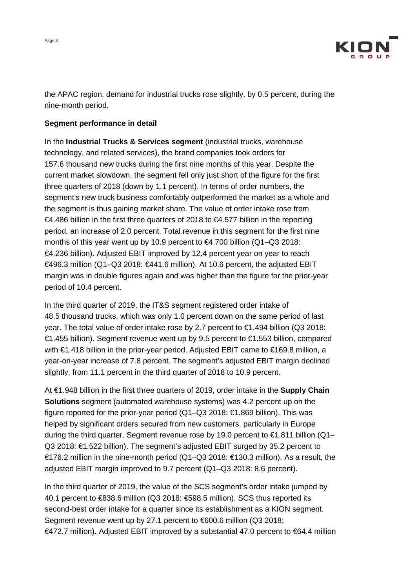



the APAC region, demand for industrial trucks rose slightly, by 0.5 percent, during the nine-month period.

#### **Segment performance in detail**

In the **Industrial Trucks & Services segment** (industrial trucks, warehouse technology, and related services), the brand companies took orders for 157.6 thousand new trucks during the first nine months of this year. Despite the current market slowdown, the segment fell only just short of the figure for the first three quarters of 2018 (down by 1.1 percent). In terms of order numbers, the segment's new truck business comfortably outperformed the market as a whole and the segment is thus gaining market share. The value of order intake rose from €4.486 billion in the first three quarters of 2018 to €4.577 billion in the reporting period, an increase of 2.0 percent. Total revenue in this segment for the first nine months of this year went up by 10.9 percent to €4.700 billion (Q1–Q3 2018: €4.236 billion). Adjusted EBIT improved by 12.4 percent year on year to reach €496.3 million (Q1–Q3 2018: €441.6 million). At 10.6 percent, the adjusted EBIT margin was in double figures again and was higher than the figure for the prior-year period of 10.4 percent.

In the third quarter of 2019, the IT&S segment registered order intake of 48.5 thousand trucks, which was only 1.0 percent down on the same period of last year. The total value of order intake rose by 2.7 percent to €1.494 billion (Q3 2018: €1.455 billion). Segment revenue went up by 9.5 percent to €1.553 billion, compared with €1.418 billion in the prior-year period. Adjusted EBIT came to €169.8 million, a year-on-year increase of 7.8 percent. The segment's adjusted EBIT margin declined slightly, from 11.1 percent in the third quarter of 2018 to 10.9 percent.

At €1.948 billion in the first three quarters of 2019, order intake in the **Supply Chain Solutions** segment (automated warehouse systems) was 4.2 percent up on the figure reported for the prior-year period (Q1–Q3 2018: €1.869 billion). This was helped by significant orders secured from new customers, particularly in Europe during the third quarter. Segment revenue rose by 19.0 percent to €1.811 billion (Q1– Q3 2018: €1.522 billion). The segment's adjusted EBIT surged by 35.2 percent to €176.2 million in the nine-month period (Q1–Q3 2018: €130.3 million). As a result, the adjusted EBIT margin improved to 9.7 percent (Q1–Q3 2018: 8.6 percent).

In the third quarter of 2019, the value of the SCS segment's order intake jumped by 40.1 percent to €838.6 million (Q3 2018: €598.5 million). SCS thus reported its second-best order intake for a quarter since its establishment as a KION segment. Segment revenue went up by 27.1 percent to €600.6 million (Q3 2018: €472.7 million). Adjusted EBIT improved by a substantial 47.0 percent to €64.4 million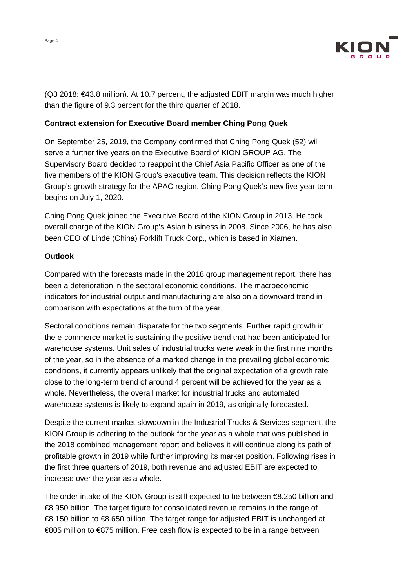

(Q3 2018: €43.8 million). At 10.7 percent, the adjusted EBIT margin was much higher than the figure of 9.3 percent for the third quarter of 2018.

### **Contract extension for Executive Board member Ching Pong Quek**

On September 25, 2019, the Company confirmed that Ching Pong Quek (52) will serve a further five years on the Executive Board of KION GROUP AG. The Supervisory Board decided to reappoint the Chief Asia Pacific Officer as one of the five members of the KION Group's executive team. This decision reflects the KION Group's growth strategy for the APAC region. Ching Pong Quek's new five-year term begins on July 1, 2020.

Ching Pong Quek joined the Executive Board of the KION Group in 2013. He took overall charge of the KION Group's Asian business in 2008. Since 2006, he has also been CEO of Linde (China) Forklift Truck Corp., which is based in Xiamen.

### **Outlook**

Compared with the forecasts made in the 2018 group management report, there has been a deterioration in the sectoral economic conditions. The macroeconomic indicators for industrial output and manufacturing are also on a downward trend in comparison with expectations at the turn of the year.

Sectoral conditions remain disparate for the two segments. Further rapid growth in the e-commerce market is sustaining the positive trend that had been anticipated for warehouse systems. Unit sales of industrial trucks were weak in the first nine months of the year, so in the absence of a marked change in the prevailing global economic conditions, it currently appears unlikely that the original expectation of a growth rate close to the long-term trend of around 4 percent will be achieved for the year as a whole. Nevertheless, the overall market for industrial trucks and automated warehouse systems is likely to expand again in 2019, as originally forecasted.

Despite the current market slowdown in the Industrial Trucks & Services segment, the KION Group is adhering to the outlook for the year as a whole that was published in the 2018 combined management report and believes it will continue along its path of profitable growth in 2019 while further improving its market position. Following rises in the first three quarters of 2019, both revenue and adjusted EBIT are expected to increase over the year as a whole.

The order intake of the KION Group is still expected to be between €8.250 billion and €8.950 billion. The target figure for consolidated revenue remains in the range of €8.150 billion to €8.650 billion. The target range for adjusted EBIT is unchanged at €805 million to €875 million. Free cash flow is expected to be in a range between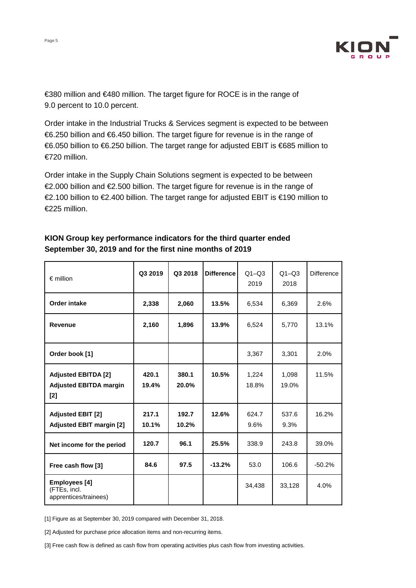

€380 million and €480 million. The target figure for ROCE is in the range of 9.0 percent to 10.0 percent.

Order intake in the Industrial Trucks & Services segment is expected to be between €6.250 billion and €6.450 billion. The target figure for revenue is in the range of €6.050 billion to €6.250 billion. The target range for adjusted EBIT is €685 million to €720 million.

Order intake in the Supply Chain Solutions segment is expected to be between €2.000 billion and €2.500 billion. The target figure for revenue is in the range of €2.100 billion to €2.400 billion. The target range for adjusted EBIT is €190 million to €225 million.

| $\epsilon$ million                                                   | Q3 2019        | Q3 2018        | <b>Difference</b> | $Q1 - Q3$<br>2019 | $Q1 - Q3$<br>2018 | <b>Difference</b> |
|----------------------------------------------------------------------|----------------|----------------|-------------------|-------------------|-------------------|-------------------|
| <b>Order intake</b>                                                  | 2,338          | 2,060          | 13.5%             | 6,534             | 6,369             | 2.6%              |
| <b>Revenue</b>                                                       | 2,160          | 1,896          | 13.9%             | 6,524             | 5,770             | 13.1%             |
| Order book [1]                                                       |                |                |                   | 3,367             | 3,301             | 2.0%              |
| <b>Adjusted EBITDA [2]</b><br><b>Adjusted EBITDA margin</b><br>$[2]$ | 420.1<br>19.4% | 380.1<br>20.0% | 10.5%             | 1,224<br>18.8%    | 1,098<br>19.0%    | 11.5%             |
| <b>Adjusted EBIT [2]</b><br><b>Adjusted EBIT margin [2]</b>          | 217.1<br>10.1% | 192.7<br>10.2% | 12.6%             | 624.7<br>9.6%     | 537.6<br>9.3%     | 16.2%             |
| Net income for the period                                            | 120.7          | 96.1           | 25.5%             | 338.9             | 243.8             | 39.0%             |
| Free cash flow [3]                                                   | 84.6           | 97.5           | $-13.2%$          | 53.0              | 106.6             | $-50.2%$          |
| Employees [4]<br>(FTEs, incl.<br>apprentices/trainees)               |                |                |                   | 34,438            | 33,128            | 4.0%              |

# **KION Group key performance indicators for the third quarter ended September 30, 2019 and for the first nine months of 2019**

[1] Figure as at September 30, 2019 compared with December 31, 2018.

[2] Adjusted for purchase price allocation items and non-recurring items.

[3] Free cash flow is defined as cash flow from operating activities plus cash flow from investing activities.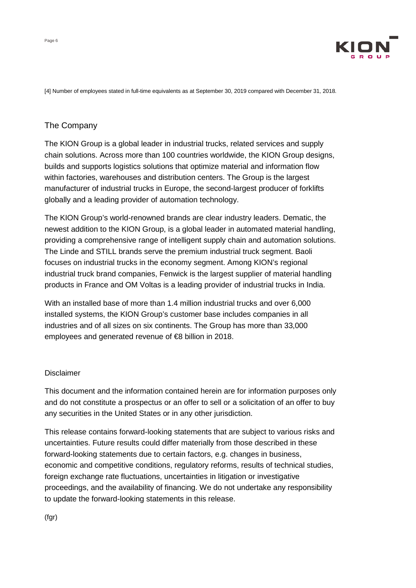

[4] Number of employees stated in full-time equivalents as at September 30, 2019 compared with December 31, 2018.

# The Company

The KION Group is a global leader in industrial trucks, related services and supply chain solutions. Across more than 100 countries worldwide, the KION Group designs, builds and supports logistics solutions that optimize material and information flow within factories, warehouses and distribution centers. The Group is the largest manufacturer of industrial trucks in Europe, the second-largest producer of forklifts globally and a leading provider of automation technology.

The KION Group's world-renowned brands are clear industry leaders. Dematic, the newest addition to the KION Group, is a global leader in automated material handling, providing a comprehensive range of intelligent supply chain and automation solutions. The Linde and STILL brands serve the premium industrial truck segment. Baoli focuses on industrial trucks in the economy segment. Among KION's regional industrial truck brand companies, Fenwick is the largest supplier of material handling products in France and OM Voltas is a leading provider of industrial trucks in India.

With an installed base of more than 1.4 million industrial trucks and over 6,000 installed systems, the KION Group's customer base includes companies in all industries and of all sizes on six continents. The Group has more than 33,000 employees and generated revenue of €8 billion in 2018.

#### Disclaimer

This document and the information contained herein are for information purposes only and do not constitute a prospectus or an offer to sell or a solicitation of an offer to buy any securities in the United States or in any other jurisdiction.

This release contains forward-looking statements that are subject to various risks and uncertainties. Future results could differ materially from those described in these forward-looking statements due to certain factors, e.g. changes in business, economic and competitive conditions, regulatory reforms, results of technical studies, foreign exchange rate fluctuations, uncertainties in litigation or investigative proceedings, and the availability of financing. We do not undertake any responsibility to update the forward-looking statements in this release.

(fgr)